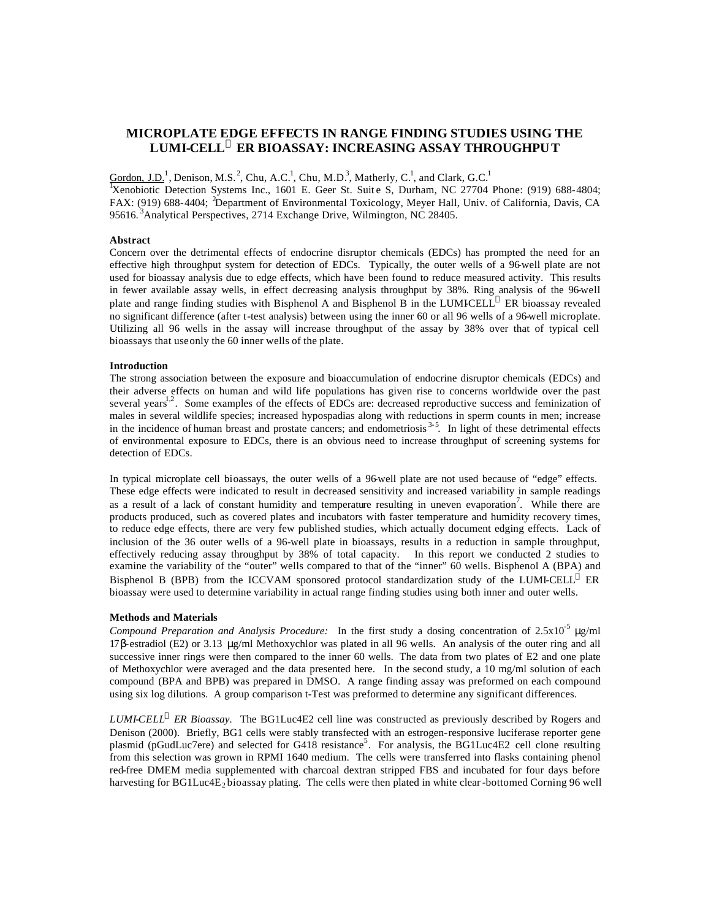# **MICROPLATE EDGE EFFECTS IN RANGE FINDING STUDIES USING THE LUMI-CELL<sup>Ò</sup> ER BIOASSAY: INCREASING ASSAY THROUGHPUT**

Gordon, J.D.<sup>1</sup>, Denison, M.S.<sup>2</sup>, Chu, A.C.<sup>1</sup>, Chu, M.D.<sup>3</sup>, Matherly, C.<sup>1</sup>, and Clark, G.C.<sup>1</sup>

<sup>1</sup>Xenobiotic Detection Systems Inc., 1601 E. Geer St. Suit e S, Durham, NC 27704 Phone: (919) 688-4804; FAX: (919) 688-4404; <sup>2</sup>Department of Environmental Toxicology, Meyer Hall, Univ. of California, Davis, CA 95616.<sup>3</sup>Analytical Perspectives, 2714 Exchange Drive, Wilmington, NC 28405.

## **Abstract**

Concern over the detrimental effects of endocrine disruptor chemicals (EDCs) has prompted the need for an effective high throughput system for detection of EDCs. Typically, the outer wells of a 96-well plate are not used for bioassay analysis due to edge effects, which have been found to reduce measured activity. This results in fewer available assay wells, in effect decreasing analysis throughput by 38%. Ring analysis of the 96-well plate and range finding studies with Bisphenol A and Bisphenol B in the LUMICELL<sup>®</sup> ER bioassay revealed no significant difference (after t-test analysis) between using the inner 60 or all 96 wells of a 96-well microplate. Utilizing all 96 wells in the assay will increase throughput of the assay by 38% over that of typical cell bioassays that use only the 60 inner wells of the plate.

## **Introduction**

The strong association between the exposure and bioaccumulation of endocrine disruptor chemicals (EDCs) and their adverse effects on human and wild life populations has given rise to concerns worldwide over the past several years $12$ . Some examples of the effects of EDCs are: decreased reproductive success and feminization of males in several wildlife species; increased hypospadias along with reductions in sperm counts in men; increase in the incidence of human breast and prostate cancers; and endometriosis  $3-5$ . In light of these detrimental effects of environmental exposure to EDCs, there is an obvious need to increase throughput of screening systems for detection of EDCs.

In typical microplate cell bioassays, the outer wells of a 96-well plate are not used because of "edge" effects. These edge effects were indicated to result in decreased sensitivity and increased variability in sample readings as a result of a lack of constant humidity and temperature resulting in uneven evaporation<sup>7</sup>. While there are products produced, such as covered plates and incubators with faster temperature and humidity recovery times, to reduce edge effects, there are very few published studies, which actually document edging effects. Lack of inclusion of the 36 outer wells of a 96-well plate in bioassays, results in a reduction in sample throughput, effectively reducing assay throughput by 38% of total capacity. In this report we conducted 2 studies to examine the variability of the "outer" wells compared to that of the "inner" 60 wells. Bisphenol A (BPA) and Bisphenol B (BPB) from the ICCVAM sponsored protocol standardization study of the LUMI-CELL<sup>®</sup> ER bioassay were used to determine variability in actual range finding studies using both inner and outer wells.

#### **Methods and Materials**

*Compound Preparation and Analysis Procedure:* In the first study a dosing concentration of 2.5x10-5 μg/ml 17β-estradiol (E2) or 3.13 μg/ml Methoxychlor was plated in all 96 wells. An analysis of the outer ring and all successive inner rings were then compared to the inner 60 wells. The data from two plates of E2 and one plate of Methoxychlor were averaged and the data presented here.In the second study, a 10 mg/ml solution of each compound (BPA and BPB) was prepared in DMSO. A range finding assay was preformed on each compound using six log dilutions. A group comparison t-Test was preformed to determine any significant differences.

*LUMI-CELL<sup>a</sup> ER Bioassay*. The BG1Luc4E2 cell line was constructed as previously described by Rogers and Denison (2000). Briefly, BG1 cells were stably transfected with an estrogen-responsive luciferase reporter gene plasmid (pGudLuc7ere) and selected for G418 resistance<sup>5</sup>. For analysis, the BG1Luc4E2 cell clone resulting from this selection was grown in RPMI 1640 medium. The cells were transferred into flasks containing phenol red-free DMEM media supplemented with charcoal dextran stripped FBS and incubated for four days before harvesting for BG1Luc4E<sub>2</sub> bioassay plating. The cells were then plated in white clear -bottomed Corning 96 well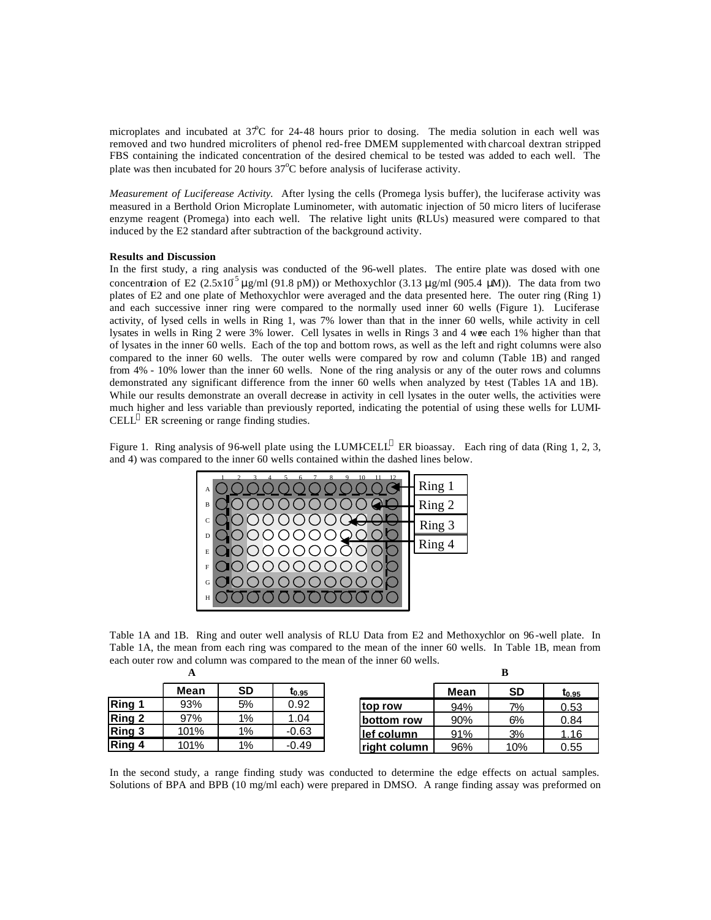microplates and incubated at  $37^{\circ}$ C for 24-48 hours prior to dosing. The media solution in each well was removed and two hundred microliters of phenol red-free DMEM supplemented with charcoal dextran stripped FBS containing the indicated concentration of the desired chemical to be tested was added to each well. The plate was then incubated for 20 hours  $37^{\circ}$ C before analysis of luciferase activity.

*Measurement of Luciferease Activity.* After lysing the cells (Promega lysis buffer), the luciferase activity was measured in a Berthold Orion Microplate Luminometer, with automatic injection of 50 micro liters of luciferase enzyme reagent (Promega) into each well. The relative light units (RLUs) measured were compared to that induced by the E2 standard after subtraction of the background activity.

## **Results and Discussion**

In the first study, a ring analysis was conducted of the 96-well plates. The entire plate was dosed with one concentration of E2 (2.5x10<sup>5</sup>  $\mu$ g/ml (91.8 pM)) or Methoxychlor (3.13  $\mu$ g/ml (905.4  $\mu$ M)). The data from two plates of E2 and one plate of Methoxychlor were averaged and the data presented here. The outer ring (Ring 1) and each successive inner ring were compared to the normally used inner 60 wells (Figure 1). Luciferase activity, of lysed cells in wells in Ring 1, was 7% lower than that in the inner 60 wells, while activity in cell lysates in wells in Ring 2 were 3% lower. Cell lysates in wells in Rings 3 and 4 were each 1% higher than that of lysates in the inner 60 wells. Each of the top and bottom rows, as well as the left and right columns were also compared to the inner 60 wells. The outer wells were compared by row and column (Table 1B) and ranged from 4% - 10% lower than the inner 60 wells. None of the ring analysis or any of the outer rows and columns demonstrated any significant difference from the inner 60 wells when analyzed by t-test (Tables 1A and 1B). While our results demonstrate an overall decrease in activity in cell lysates in the outer wells, the activities were much higher and less variable than previously reported, indicating the potential of using these wells for LUMI-CELL<sup>®</sup> ER screening or range finding studies.

Figure 1. Ring analysis of 96-well plate using the LUMICELL<sup>®</sup> ER bioassay. Each ring of data (Ring 1, 2, 3, and 4) was compared to the inner 60 wells contained within the dashed lines below.



Table 1A and 1B. Ring and outer well analysis of RLU Data from E2 and Methoxychlor on 96 -well plate. In Table 1A, the mean from each ring was compared to the mean of the inner 60 wells. In Table 1B, mean from each outer row and column was compared to the mean of the inner 60 wells.

|        | A    |           |                   |              | в    |           |            |
|--------|------|-----------|-------------------|--------------|------|-----------|------------|
|        | Mean | <b>SD</b> | t <sub>0.95</sub> |              | Mean | <b>SD</b> | $t_{0.95}$ |
| Ring 1 | 93%  | 5%        | 0.92              | top row      | 94%  | 7%        | 0.53       |
| Ring 2 | 97%  | $1\%$     | 1.04              | bottom row   | 90%  | 6%        | 0.84       |
| Ring 3 | 101% | 1%        | $-0.63$           | lef column   | 91%  | 3%        | 1.16       |
| Ring 4 | 101% | 1%        | $-0.49$           | right column | 96%  | 10%       | 0.55       |

In the second study, a range finding study was conducted to determine the edge effects on actual samples. Solutions of BPA and BPB (10 mg/ml each) were prepared in DMSO. A range finding assay was preformed on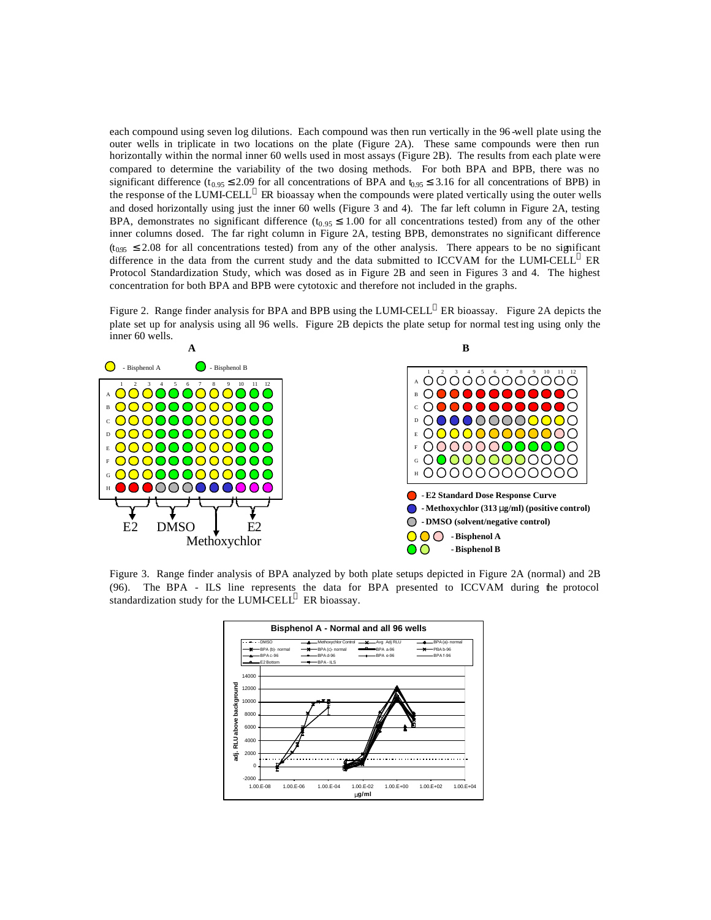each compound using seven log dilutions. Each compound was then run vertically in the 96 -well plate using the outer wells in triplicate in two locations on the plate (Figure 2A). These same compounds were then run horizontally within the normal inner 60 wells used in most assays (Figure 2B). The results from each plate were compared to determine the variability of the two dosing methods. For both BPA and BPB, there was no significant difference ( $t_{0.95} \le 2.09$  for all concentrations of BPA and  $t_{0.95} \le 3.16$  for all concentrations of BPB) in the response of the LUMI-CELL  $^{\circledR}$  ER bioassay when the compounds were plated vertically using the outer wells and dosed horizontally using just the inner 60 wells (Figure 3 and 4). The far left column in Figure 2A, testing BPA, demonstrates no significant difference  $(t_{0.95} \le 1.00$  for all concentrations tested) from any of the other inner columns dosed. The far right column in Figure 2A, testing BPB, demonstrates no significant difference  $(t<sub>0.95</sub> \le 2.08$  for all concentrations tested) from any of the other analysis. There appears to be no significant difference in the data from the current study and the data submitted to ICCVAM for the LUMI-CELL  $^{\circ}$  ER Protocol Standardization Study, which was dosed as in Figure 2B and seen in Figures 3 and 4. The highest concentration for both BPA and BPB were cytotoxic and therefore not included in the graphs.

Figure 2. Range finder analysis for BPA and BPB using the LUMI-CELL<sup>®</sup> ER bioassay. Figure 2A depicts the plate set up for analysis using all 96 wells. Figure 2B depicts the plate setup for normal test ing using only the inner 60 wells.



Figure 3. Range finder analysis of BPA analyzed by both plate setups depicted in Figure 2A (normal) and 2B (96). The BPA - ILS line represents the data for BPA presented to ICCVAM during the protocol standardization study for the LUMI-CELL $^{\circ}$  ER bioassay.